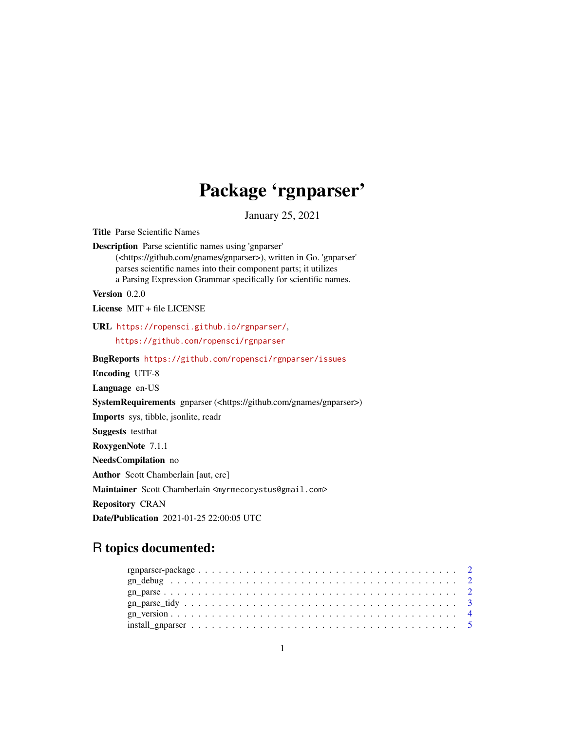## Package 'rgnparser'

January 25, 2021

Title Parse Scientific Names

Description Parse scientific names using 'gnparser' (<https://github.com/gnames/gnparser>), written in Go. 'gnparser' parses scientific names into their component parts; it utilizes a Parsing Expression Grammar specifically for scientific names.

Version 0.2.0

License MIT + file LICENSE

URL <https://ropensci.github.io/rgnparser/>,

<https://github.com/ropensci/rgnparser>

BugReports <https://github.com/ropensci/rgnparser/issues> Encoding UTF-8 Language en-US SystemRequirements gnparser (<https://github.com/gnames/gnparser>) Imports sys, tibble, jsonlite, readr Suggests testthat RoxygenNote 7.1.1 NeedsCompilation no Author Scott Chamberlain [aut, cre] Maintainer Scott Chamberlain <myrmecocystus@gmail.com>

Repository CRAN

Date/Publication 2021-01-25 22:00:05 UTC

### R topics documented: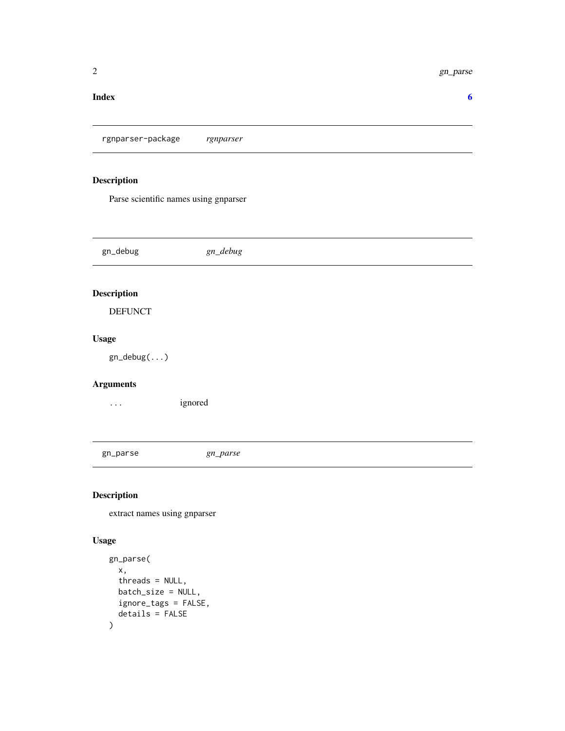#### <span id="page-1-0"></span>**Index** [6](#page-5-0) **6**

rgnparser-package *rgnparser*

#### Description

Parse scientific names using gnparser

gn\_debug *gn\_debug* Description DEFUNCT Usage gn\_debug(...) Arguments ... ignored gn\_parse *gn\_parse*

#### <span id="page-1-1"></span>Description

extract names using gnparser

#### Usage

```
gn_parse(
  x,
  threeads = NULL,batch_size = NULL,
  ignore_tags = FALSE,
  details = FALSE
\overline{\phantom{a}}
```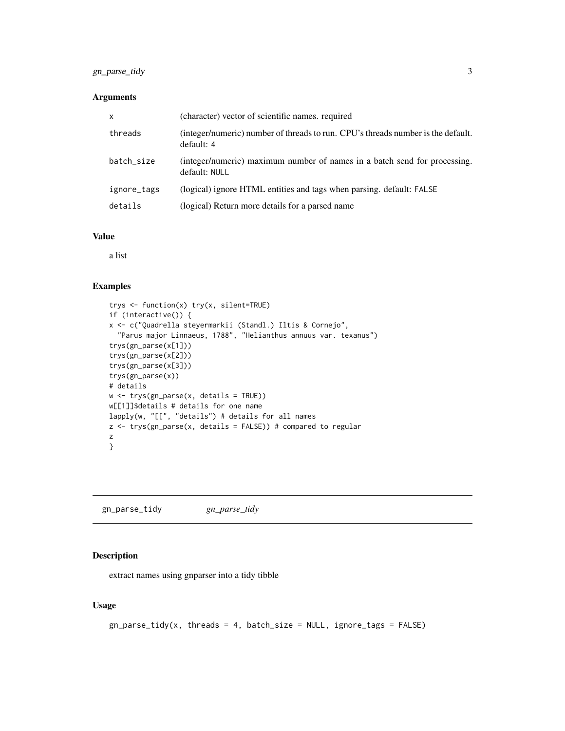#### <span id="page-2-0"></span>gn\_parse\_tidy 3

#### Arguments

| $\mathsf{x}$ | (character) vector of scientific names. required                                               |
|--------------|------------------------------------------------------------------------------------------------|
| threads      | (integer/numeric) number of threads to run. CPU's threads number is the default.<br>default: 4 |
| batch_size   | (integer/numeric) maximum number of names in a batch send for processing.<br>default: NULL     |
| ignore_tags  | (logical) ignore HTML entities and tags when parsing. default: FALSE                           |
| details      | (logical) Return more details for a parsed name                                                |

#### Value

a list

#### Examples

```
trys <- function(x) try(x, silent=TRUE)
if (interactive()) {
x <- c("Quadrella steyermarkii (Standl.) Iltis & Cornejo",
  "Parus major Linnaeus, 1788", "Helianthus annuus var. texanus")
trys(gn_parse(x[1]))
trys(gn_parse(x[2]))
trys(gn_parse(x[3]))
trys(gn_parse(x))
# details
w <- trys(gn_parse(x, details = TRUE))
w[[1]]$details # details for one name
lapply(w, "[[", "details") # details for all names
z <- trys(gn_parse(x, details = FALSE)) # compared to regular
z
}
```
gn\_parse\_tidy *gn\_parse\_tidy*

#### Description

extract names using gnparser into a tidy tibble

#### Usage

```
gn\_parse\_tidy(x, threads = 4, batch\_size = NULL, ignores = FALSE)
```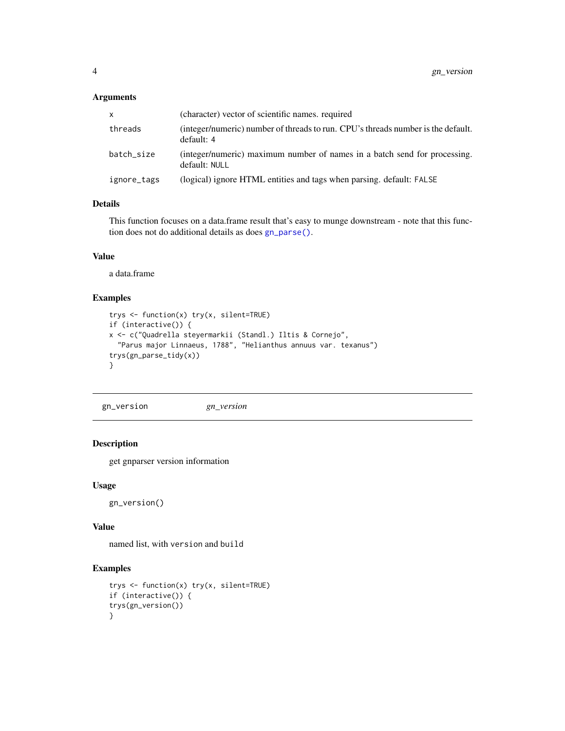#### <span id="page-3-0"></span>Arguments

| x           | (character) vector of scientific names. required                                               |
|-------------|------------------------------------------------------------------------------------------------|
| threads     | (integer/numeric) number of threads to run. CPU's threads number is the default.<br>default: 4 |
| batch_size  | (integer/numeric) maximum number of names in a batch send for processing.<br>default: NULL     |
| ignore_tags | (logical) ignore HTML entities and tags when parsing. default: FALSE                           |

#### Details

This function focuses on a data.frame result that's easy to munge downstream - note that this function does not do additional details as does [gn\\_parse\(\)](#page-1-1).

#### Value

a data.frame

#### Examples

```
trys <- function(x) try(x, silent=TRUE)
if (interactive()) {
x <- c("Quadrella steyermarkii (Standl.) Iltis & Cornejo",
  "Parus major Linnaeus, 1788", "Helianthus annuus var. texanus")
trys(gn_parse_tidy(x))
}
```
gn\_version *gn\_version*

#### Description

get gnparser version information

#### Usage

gn\_version()

#### Value

named list, with version and build

#### Examples

```
trys <- function(x) try(x, silent=TRUE)
if (interactive()) {
trys(gn_version())
}
```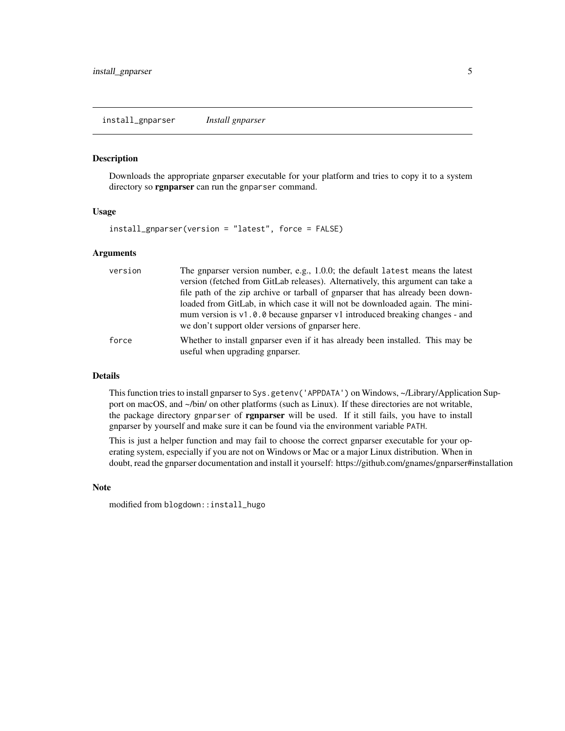<span id="page-4-0"></span>install\_gnparser *Install gnparser*

#### Description

Downloads the appropriate gnparser executable for your platform and tries to copy it to a system directory so **rgnparser** can run the gnparser command.

#### Usage

install\_gnparser(version = "latest", force = FALSE)

#### Arguments

| version | The gnparser version number, e.g., 1.0.0; the default latest means the latest<br>version (fetched from GitLab releases). Alternatively, this argument can take a |
|---------|------------------------------------------------------------------------------------------------------------------------------------------------------------------|
|         | file path of the zip archive or tarball of gnparser that has already been down-                                                                                  |
|         | loaded from GitLab, in which case it will not be downloaded again. The mini-                                                                                     |
|         | mum version is $v1.0.0$ because gnparser v1 introduced breaking changes - and<br>we don't support older versions of gnparser here.                               |
| force   | Whether to install gnparser even if it has already been installed. This may be<br>useful when upgrading gnparser.                                                |

#### Details

This function tries to install gnparser to Sys.getenv('APPDATA') on Windows, ~/Library/Application Support on macOS, and ~/bin/ on other platforms (such as Linux). If these directories are not writable, the package directory gnparser of **rgnparser** will be used. If it still fails, you have to install gnparser by yourself and make sure it can be found via the environment variable PATH.

This is just a helper function and may fail to choose the correct gnparser executable for your operating system, especially if you are not on Windows or Mac or a major Linux distribution. When in doubt, read the gnparser documentation and install it yourself: https://github.com/gnames/gnparser#installation

#### Note

modified from blogdown::install\_hugo